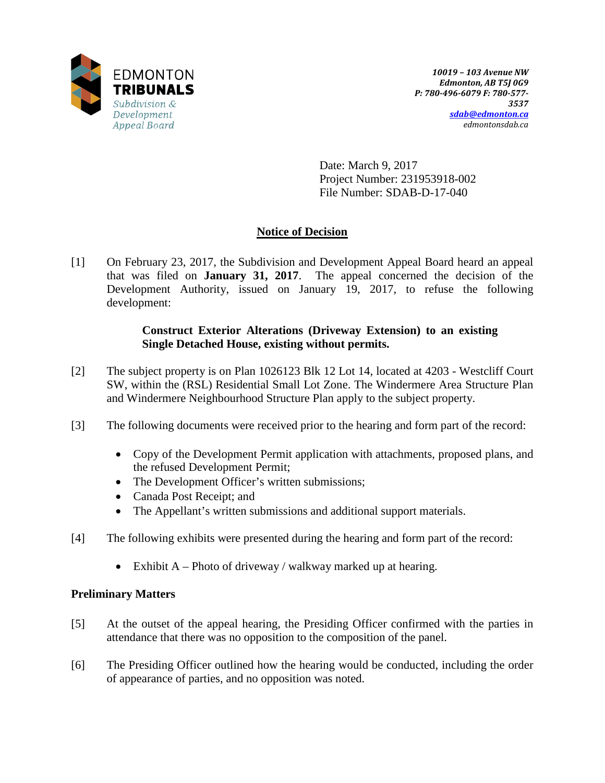

Date: March 9, 2017 Project Number: 231953918-002 File Number: SDAB-D-17-040

# **Notice of Decision**

[1] On February 23, 2017, the Subdivision and Development Appeal Board heard an appeal that was filed on **January 31, 2017**. The appeal concerned the decision of the Development Authority, issued on January 19, 2017, to refuse the following development:

# **Construct Exterior Alterations (Driveway Extension) to an existing Single Detached House, existing without permits.**

- [2] The subject property is on Plan 1026123 Blk 12 Lot 14, located at 4203 Westcliff Court SW, within the (RSL) Residential Small Lot Zone. The Windermere Area Structure Plan and Windermere Neighbourhood Structure Plan apply to the subject property.
- [3] The following documents were received prior to the hearing and form part of the record:
	- Copy of the Development Permit application with attachments, proposed plans, and the refused Development Permit;
	- The Development Officer's written submissions;
	- Canada Post Receipt; and
	- The Appellant's written submissions and additional support materials.
- [4] The following exhibits were presented during the hearing and form part of the record:
	- Exhibit A Photo of driveway / walkway marked up at hearing.

# **Preliminary Matters**

- [5] At the outset of the appeal hearing, the Presiding Officer confirmed with the parties in attendance that there was no opposition to the composition of the panel.
- [6] The Presiding Officer outlined how the hearing would be conducted, including the order of appearance of parties, and no opposition was noted.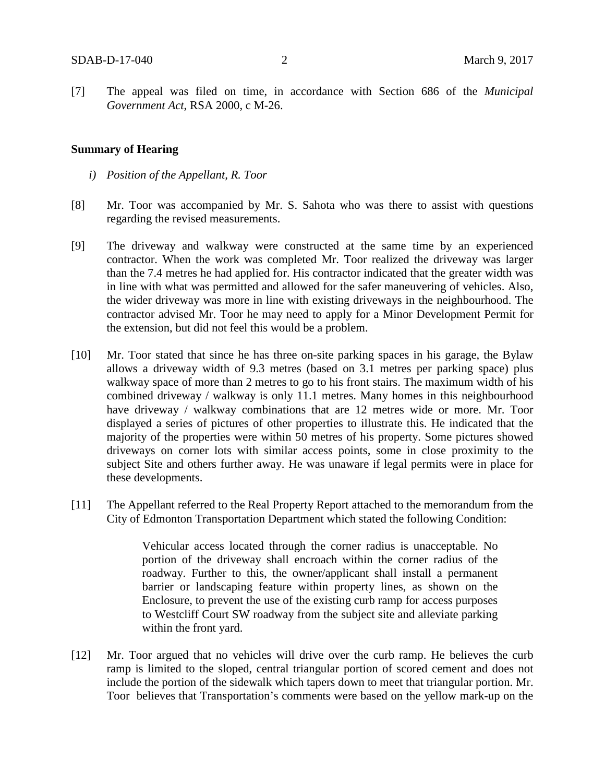[7] The appeal was filed on time, in accordance with Section 686 of the *Municipal Government Act*, RSA 2000, c M-26.

### **Summary of Hearing**

- *i) Position of the Appellant, R. Toor*
- [8] Mr. Toor was accompanied by Mr. S. Sahota who was there to assist with questions regarding the revised measurements.
- [9] The driveway and walkway were constructed at the same time by an experienced contractor. When the work was completed Mr. Toor realized the driveway was larger than the 7.4 metres he had applied for. His contractor indicated that the greater width was in line with what was permitted and allowed for the safer maneuvering of vehicles. Also, the wider driveway was more in line with existing driveways in the neighbourhood. The contractor advised Mr. Toor he may need to apply for a Minor Development Permit for the extension, but did not feel this would be a problem.
- [10] Mr. Toor stated that since he has three on-site parking spaces in his garage, the Bylaw allows a driveway width of 9.3 metres (based on 3.1 metres per parking space) plus walkway space of more than 2 metres to go to his front stairs. The maximum width of his combined driveway / walkway is only 11.1 metres. Many homes in this neighbourhood have driveway / walkway combinations that are 12 metres wide or more. Mr. Toor displayed a series of pictures of other properties to illustrate this. He indicated that the majority of the properties were within 50 metres of his property. Some pictures showed driveways on corner lots with similar access points, some in close proximity to the subject Site and others further away. He was unaware if legal permits were in place for these developments.
- [11] The Appellant referred to the Real Property Report attached to the memorandum from the City of Edmonton Transportation Department which stated the following Condition:

Vehicular access located through the corner radius is unacceptable. No portion of the driveway shall encroach within the corner radius of the roadway. Further to this, the owner/applicant shall install a permanent barrier or landscaping feature within property lines, as shown on the Enclosure, to prevent the use of the existing curb ramp for access purposes to Westcliff Court SW roadway from the subject site and alleviate parking within the front yard.

[12] Mr. Toor argued that no vehicles will drive over the curb ramp. He believes the curb ramp is limited to the sloped, central triangular portion of scored cement and does not include the portion of the sidewalk which tapers down to meet that triangular portion. Mr. Toor believes that Transportation's comments were based on the yellow mark-up on the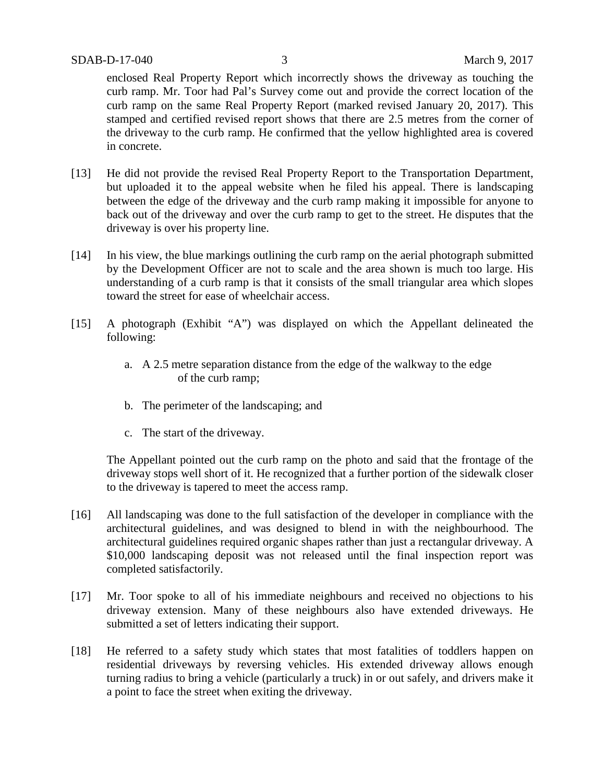enclosed Real Property Report which incorrectly shows the driveway as touching the curb ramp. Mr. Toor had Pal's Survey come out and provide the correct location of the curb ramp on the same Real Property Report (marked revised January 20, 2017). This stamped and certified revised report shows that there are 2.5 metres from the corner of the driveway to the curb ramp. He confirmed that the yellow highlighted area is covered in concrete.

- [13] He did not provide the revised Real Property Report to the Transportation Department, but uploaded it to the appeal website when he filed his appeal. There is landscaping between the edge of the driveway and the curb ramp making it impossible for anyone to back out of the driveway and over the curb ramp to get to the street. He disputes that the driveway is over his property line.
- [14] In his view, the blue markings outlining the curb ramp on the aerial photograph submitted by the Development Officer are not to scale and the area shown is much too large. His understanding of a curb ramp is that it consists of the small triangular area which slopes toward the street for ease of wheelchair access.
- [15] A photograph (Exhibit "A") was displayed on which the Appellant delineated the following:
	- a. A 2.5 metre separation distance from the edge of the walkway to the edge of the curb ramp;
	- b. The perimeter of the landscaping; and
	- c. The start of the driveway.

The Appellant pointed out the curb ramp on the photo and said that the frontage of the driveway stops well short of it. He recognized that a further portion of the sidewalk closer to the driveway is tapered to meet the access ramp.

- [16] All landscaping was done to the full satisfaction of the developer in compliance with the architectural guidelines, and was designed to blend in with the neighbourhood. The architectural guidelines required organic shapes rather than just a rectangular driveway. A \$10,000 landscaping deposit was not released until the final inspection report was completed satisfactorily.
- [17] Mr. Toor spoke to all of his immediate neighbours and received no objections to his driveway extension. Many of these neighbours also have extended driveways. He submitted a set of letters indicating their support.
- [18] He referred to a safety study which states that most fatalities of toddlers happen on residential driveways by reversing vehicles. His extended driveway allows enough turning radius to bring a vehicle (particularly a truck) in or out safely, and drivers make it a point to face the street when exiting the driveway.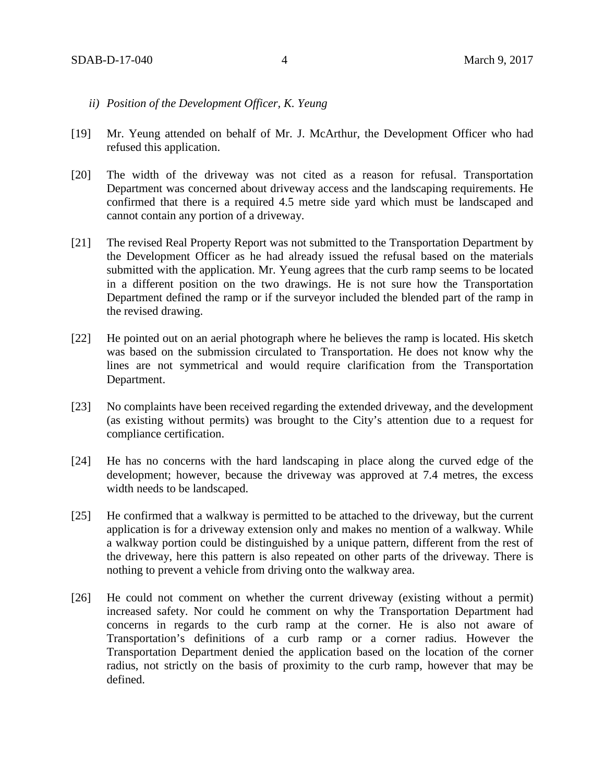## *ii) Position of the Development Officer, K. Yeung*

- [19] Mr. Yeung attended on behalf of Mr. J. McArthur, the Development Officer who had refused this application.
- [20] The width of the driveway was not cited as a reason for refusal. Transportation Department was concerned about driveway access and the landscaping requirements. He confirmed that there is a required 4.5 metre side yard which must be landscaped and cannot contain any portion of a driveway.
- [21] The revised Real Property Report was not submitted to the Transportation Department by the Development Officer as he had already issued the refusal based on the materials submitted with the application. Mr. Yeung agrees that the curb ramp seems to be located in a different position on the two drawings. He is not sure how the Transportation Department defined the ramp or if the surveyor included the blended part of the ramp in the revised drawing.
- [22] He pointed out on an aerial photograph where he believes the ramp is located. His sketch was based on the submission circulated to Transportation. He does not know why the lines are not symmetrical and would require clarification from the Transportation Department.
- [23] No complaints have been received regarding the extended driveway, and the development (as existing without permits) was brought to the City's attention due to a request for compliance certification.
- [24] He has no concerns with the hard landscaping in place along the curved edge of the development; however, because the driveway was approved at 7.4 metres, the excess width needs to be landscaped.
- [25] He confirmed that a walkway is permitted to be attached to the driveway, but the current application is for a driveway extension only and makes no mention of a walkway. While a walkway portion could be distinguished by a unique pattern, different from the rest of the driveway, here this pattern is also repeated on other parts of the driveway. There is nothing to prevent a vehicle from driving onto the walkway area.
- [26] He could not comment on whether the current driveway (existing without a permit) increased safety. Nor could he comment on why the Transportation Department had concerns in regards to the curb ramp at the corner. He is also not aware of Transportation's definitions of a curb ramp or a corner radius. However the Transportation Department denied the application based on the location of the corner radius, not strictly on the basis of proximity to the curb ramp, however that may be defined.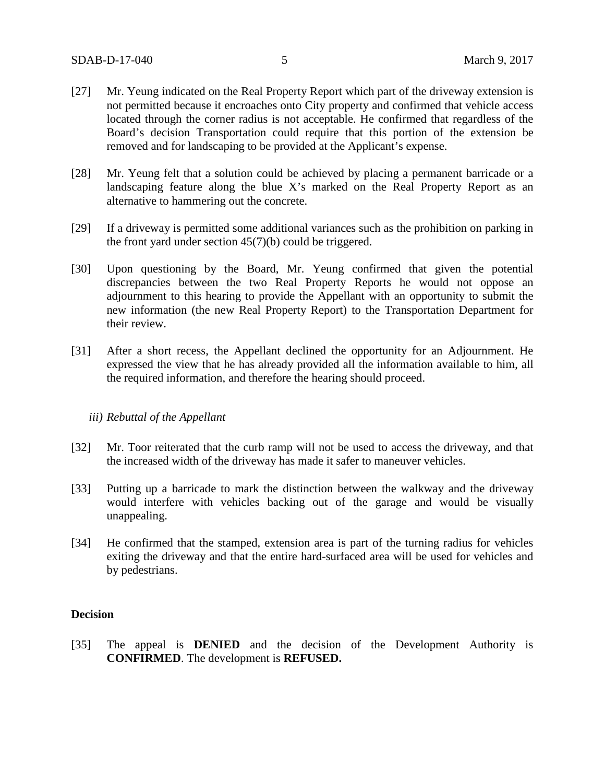- [27] Mr. Yeung indicated on the Real Property Report which part of the driveway extension is not permitted because it encroaches onto City property and confirmed that vehicle access located through the corner radius is not acceptable. He confirmed that regardless of the Board's decision Transportation could require that this portion of the extension be removed and for landscaping to be provided at the Applicant's expense.
- [28] Mr. Yeung felt that a solution could be achieved by placing a permanent barricade or a landscaping feature along the blue X's marked on the Real Property Report as an alternative to hammering out the concrete.
- [29] If a driveway is permitted some additional variances such as the prohibition on parking in the front yard under section 45(7)(b) could be triggered.
- [30] Upon questioning by the Board, Mr. Yeung confirmed that given the potential discrepancies between the two Real Property Reports he would not oppose an adjournment to this hearing to provide the Appellant with an opportunity to submit the new information (the new Real Property Report) to the Transportation Department for their review.
- [31] After a short recess, the Appellant declined the opportunity for an Adjournment. He expressed the view that he has already provided all the information available to him, all the required information, and therefore the hearing should proceed.

#### *iii) Rebuttal of the Appellant*

- [32] Mr. Toor reiterated that the curb ramp will not be used to access the driveway, and that the increased width of the driveway has made it safer to maneuver vehicles.
- [33] Putting up a barricade to mark the distinction between the walkway and the driveway would interfere with vehicles backing out of the garage and would be visually unappealing.
- [34] He confirmed that the stamped, extension area is part of the turning radius for vehicles exiting the driveway and that the entire hard-surfaced area will be used for vehicles and by pedestrians.

## **Decision**

[35] The appeal is **DENIED** and the decision of the Development Authority is **CONFIRMED**. The development is **REFUSED.**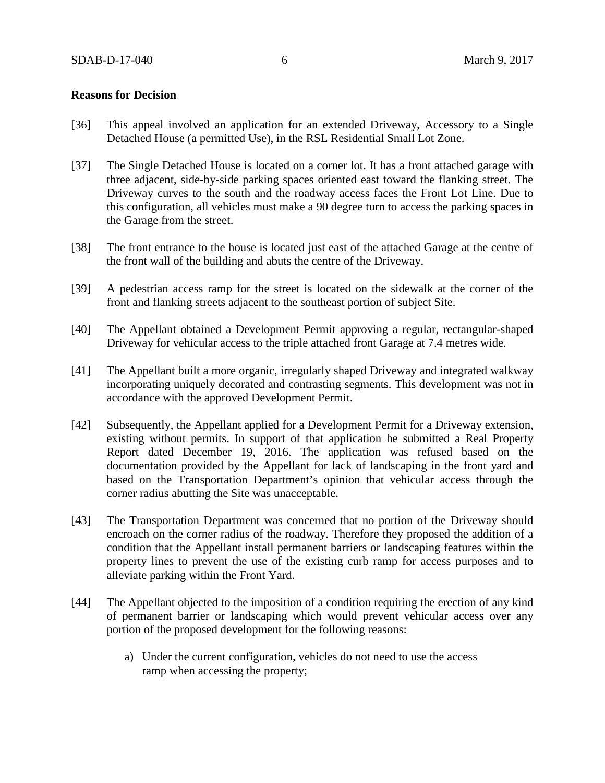## **Reasons for Decision**

- [36] This appeal involved an application for an extended Driveway, Accessory to a Single Detached House (a permitted Use), in the RSL Residential Small Lot Zone.
- [37] The Single Detached House is located on a corner lot. It has a front attached garage with three adjacent, side-by-side parking spaces oriented east toward the flanking street. The Driveway curves to the south and the roadway access faces the Front Lot Line. Due to this configuration, all vehicles must make a 90 degree turn to access the parking spaces in the Garage from the street.
- [38] The front entrance to the house is located just east of the attached Garage at the centre of the front wall of the building and abuts the centre of the Driveway.
- [39] A pedestrian access ramp for the street is located on the sidewalk at the corner of the front and flanking streets adjacent to the southeast portion of subject Site.
- [40] The Appellant obtained a Development Permit approving a regular, rectangular-shaped Driveway for vehicular access to the triple attached front Garage at 7.4 metres wide.
- [41] The Appellant built a more organic, irregularly shaped Driveway and integrated walkway incorporating uniquely decorated and contrasting segments. This development was not in accordance with the approved Development Permit.
- [42] Subsequently, the Appellant applied for a Development Permit for a Driveway extension, existing without permits. In support of that application he submitted a Real Property Report dated December 19, 2016. The application was refused based on the documentation provided by the Appellant for lack of landscaping in the front yard and based on the Transportation Department's opinion that vehicular access through the corner radius abutting the Site was unacceptable.
- [43] The Transportation Department was concerned that no portion of the Driveway should encroach on the corner radius of the roadway. Therefore they proposed the addition of a condition that the Appellant install permanent barriers or landscaping features within the property lines to prevent the use of the existing curb ramp for access purposes and to alleviate parking within the Front Yard.
- [44] The Appellant objected to the imposition of a condition requiring the erection of any kind of permanent barrier or landscaping which would prevent vehicular access over any portion of the proposed development for the following reasons:
	- a) Under the current configuration, vehicles do not need to use the access ramp when accessing the property;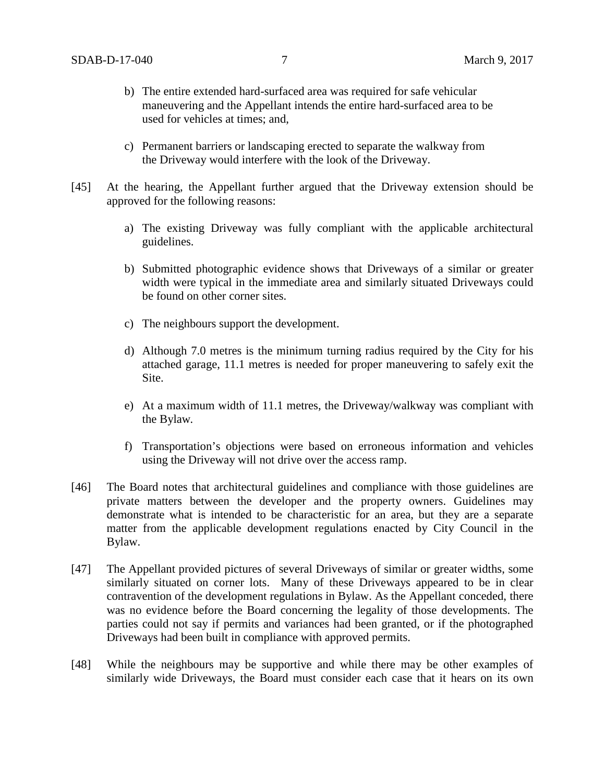- b) The entire extended hard-surfaced area was required for safe vehicular maneuvering and the Appellant intends the entire hard-surfaced area to be used for vehicles at times; and,
- c) Permanent barriers or landscaping erected to separate the walkway from the Driveway would interfere with the look of the Driveway.
- [45] At the hearing, the Appellant further argued that the Driveway extension should be approved for the following reasons:
	- a) The existing Driveway was fully compliant with the applicable architectural guidelines.
	- b) Submitted photographic evidence shows that Driveways of a similar or greater width were typical in the immediate area and similarly situated Driveways could be found on other corner sites.
	- c) The neighbours support the development.
	- d) Although 7.0 metres is the minimum turning radius required by the City for his attached garage, 11.1 metres is needed for proper maneuvering to safely exit the Site.
	- e) At a maximum width of 11.1 metres, the Driveway/walkway was compliant with the Bylaw*.*
	- f) Transportation's objections were based on erroneous information and vehicles using the Driveway will not drive over the access ramp.
- [46] The Board notes that architectural guidelines and compliance with those guidelines are private matters between the developer and the property owners. Guidelines may demonstrate what is intended to be characteristic for an area, but they are a separate matter from the applicable development regulations enacted by City Council in the Bylaw.
- [47] The Appellant provided pictures of several Driveways of similar or greater widths, some similarly situated on corner lots. Many of these Driveways appeared to be in clear contravention of the development regulations in Bylaw. As the Appellant conceded, there was no evidence before the Board concerning the legality of those developments. The parties could not say if permits and variances had been granted, or if the photographed Driveways had been built in compliance with approved permits.
- [48] While the neighbours may be supportive and while there may be other examples of similarly wide Driveways, the Board must consider each case that it hears on its own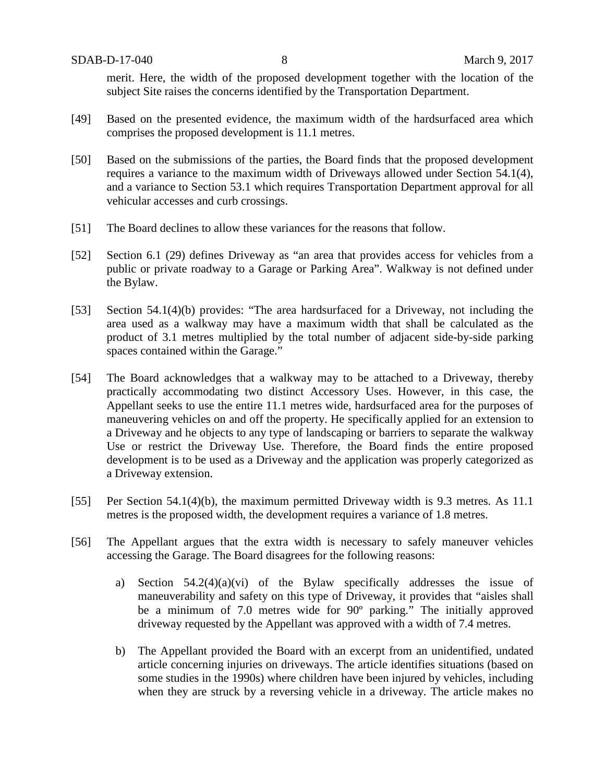merit. Here, the width of the proposed development together with the location of the subject Site raises the concerns identified by the Transportation Department.

- [49] Based on the presented evidence, the maximum width of the hardsurfaced area which comprises the proposed development is 11.1 metres.
- [50] Based on the submissions of the parties, the Board finds that the proposed development requires a variance to the maximum width of Driveways allowed under Section 54.1(4), and a variance to Section 53.1 which requires Transportation Department approval for all vehicular accesses and curb crossings.
- [51] The Board declines to allow these variances for the reasons that follow.
- [52] Section 6.1 (29) defines Driveway as "an area that provides access for vehicles from a public or private roadway to a Garage or Parking Area". Walkway is not defined under the Bylaw.
- [53] Section 54.1(4)(b) provides: "The area hardsurfaced for a Driveway, not including the area used as a walkway may have a maximum width that shall be calculated as the product of 3.1 metres multiplied by the total number of adjacent side-by-side parking spaces contained within the Garage."
- [54] The Board acknowledges that a walkway may to be attached to a Driveway, thereby practically accommodating two distinct Accessory Uses. However, in this case, the Appellant seeks to use the entire 11.1 metres wide, hardsurfaced area for the purposes of maneuvering vehicles on and off the property. He specifically applied for an extension to a Driveway and he objects to any type of landscaping or barriers to separate the walkway Use or restrict the Driveway Use. Therefore, the Board finds the entire proposed development is to be used as a Driveway and the application was properly categorized as a Driveway extension.
- [55] Per Section 54.1(4)(b), the maximum permitted Driveway width is 9.3 metres. As 11.1 metres is the proposed width, the development requires a variance of 1.8 metres.
- [56] The Appellant argues that the extra width is necessary to safely maneuver vehicles accessing the Garage. The Board disagrees for the following reasons:
	- a) Section 54.2(4)(a)(vi) of the Bylaw specifically addresses the issue of maneuverability and safety on this type of Driveway, it provides that "aisles shall be a minimum of [7.0 metres](javascript:void(0);) wide for 90º parking." The initially approved driveway requested by the Appellant was approved with a width of 7.4 metres.
	- b) The Appellant provided the Board with an excerpt from an unidentified, undated article concerning injuries on driveways. The article identifies situations (based on some studies in the 1990s) where children have been injured by vehicles, including when they are struck by a reversing vehicle in a driveway. The article makes no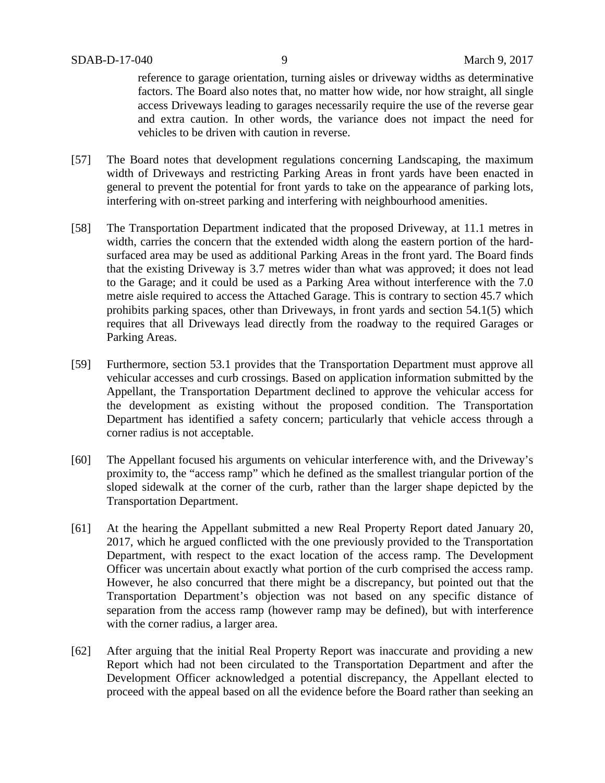reference to garage orientation, turning aisles or driveway widths as determinative factors. The Board also notes that, no matter how wide, nor how straight, all single access Driveways leading to garages necessarily require the use of the reverse gear and extra caution. In other words, the variance does not impact the need for vehicles to be driven with caution in reverse.

- [57] The Board notes that development regulations concerning Landscaping, the maximum width of Driveways and restricting Parking Areas in front yards have been enacted in general to prevent the potential for front yards to take on the appearance of parking lots, interfering with on-street parking and interfering with neighbourhood amenities.
- [58] The Transportation Department indicated that the proposed Driveway, at 11.1 metres in width, carries the concern that the extended width along the eastern portion of the hardsurfaced area may be used as additional Parking Areas in the front yard. The Board finds that the existing Driveway is 3.7 metres wider than what was approved; it does not lead to the Garage; and it could be used as a Parking Area without interference with the 7.0 metre aisle required to access the Attached Garage. This is contrary to section 45.7 which prohibits parking spaces, other than Driveways, in front yards and section 54.1(5) which requires that all Driveways lead directly from the roadway to the required Garages or Parking Areas.
- [59] Furthermore, section 53.1 provides that the Transportation Department must approve all vehicular accesses and curb crossings. Based on application information submitted by the Appellant, the Transportation Department declined to approve the vehicular access for the development as existing without the proposed condition. The Transportation Department has identified a safety concern; particularly that vehicle access through a corner radius is not acceptable.
- [60] The Appellant focused his arguments on vehicular interference with, and the Driveway's proximity to, the "access ramp" which he defined as the smallest triangular portion of the sloped sidewalk at the corner of the curb, rather than the larger shape depicted by the Transportation Department.
- [61] At the hearing the Appellant submitted a new Real Property Report dated January 20, 2017, which he argued conflicted with the one previously provided to the Transportation Department, with respect to the exact location of the access ramp. The Development Officer was uncertain about exactly what portion of the curb comprised the access ramp. However, he also concurred that there might be a discrepancy, but pointed out that the Transportation Department's objection was not based on any specific distance of separation from the access ramp (however ramp may be defined), but with interference with the corner radius, a larger area.
- [62] After arguing that the initial Real Property Report was inaccurate and providing a new Report which had not been circulated to the Transportation Department and after the Development Officer acknowledged a potential discrepancy, the Appellant elected to proceed with the appeal based on all the evidence before the Board rather than seeking an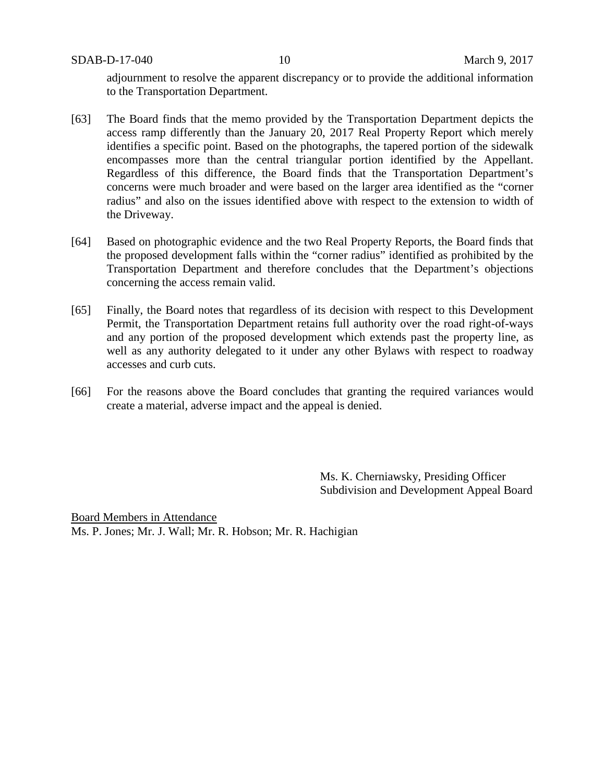SDAB-D-17-040 10 March 9, 2017

adjournment to resolve the apparent discrepancy or to provide the additional information to the Transportation Department.

- [63] The Board finds that the memo provided by the Transportation Department depicts the access ramp differently than the January 20, 2017 Real Property Report which merely identifies a specific point. Based on the photographs, the tapered portion of the sidewalk encompasses more than the central triangular portion identified by the Appellant. Regardless of this difference, the Board finds that the Transportation Department's concerns were much broader and were based on the larger area identified as the "corner radius" and also on the issues identified above with respect to the extension to width of the Driveway.
- [64] Based on photographic evidence and the two Real Property Reports, the Board finds that the proposed development falls within the "corner radius" identified as prohibited by the Transportation Department and therefore concludes that the Department's objections concerning the access remain valid.
- [65] Finally, the Board notes that regardless of its decision with respect to this Development Permit, the Transportation Department retains full authority over the road right-of-ways and any portion of the proposed development which extends past the property line, as well as any authority delegated to it under any other Bylaws with respect to roadway accesses and curb cuts.
- [66] For the reasons above the Board concludes that granting the required variances would create a material, adverse impact and the appeal is denied.

Ms. K. Cherniawsky, Presiding Officer Subdivision and Development Appeal Board

Board Members in Attendance Ms. P. Jones; Mr. J. Wall; Mr. R. Hobson; Mr. R. Hachigian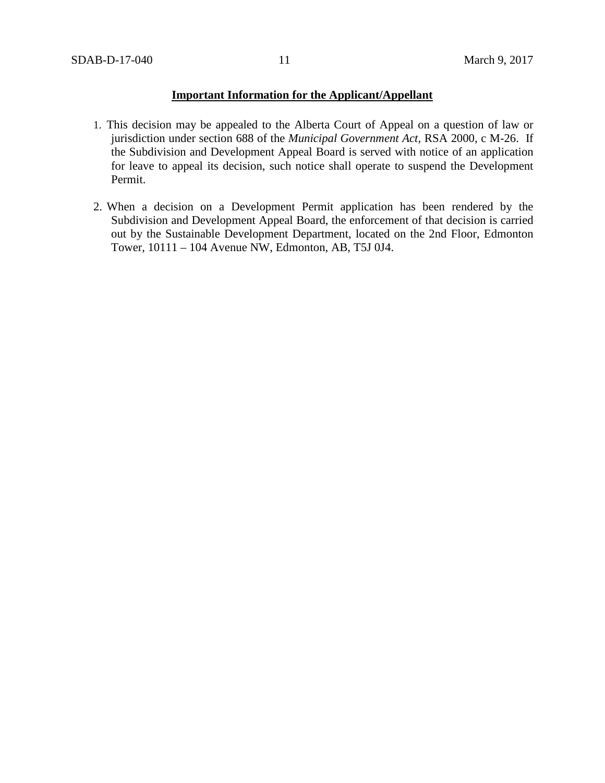## **Important Information for the Applicant/Appellant**

- 1. This decision may be appealed to the Alberta Court of Appeal on a question of law or jurisdiction under section 688 of the *Municipal Government Act*, RSA 2000, c M-26. If the Subdivision and Development Appeal Board is served with notice of an application for leave to appeal its decision, such notice shall operate to suspend the Development Permit.
- 2. When a decision on a Development Permit application has been rendered by the Subdivision and Development Appeal Board, the enforcement of that decision is carried out by the Sustainable Development Department, located on the 2nd Floor, Edmonton Tower, 10111 – 104 Avenue NW, Edmonton, AB, T5J 0J4.